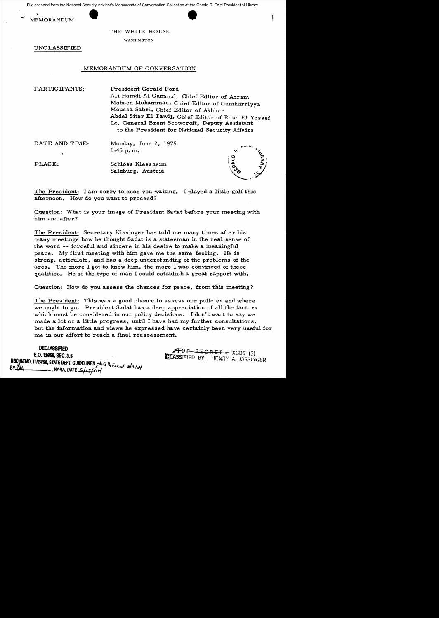File scanned from the National Security Adviser's Memoranda of Conversation Collection at the Gerald R. Ford Presidential Library<br>MEMORANDUM<br>THE WHITE HOUSE File scanned from the National Security Adviser's Memoranda of Conversation Collection at the Gerald R. Ford Presidential Library





THE WHITE HOUSE

WASHINGTON

UNC LASSIFIED

## MEMORANDUM OF CONVERSATION

PARTICIPANTS:

President Gerald Ford Ali Hamdi Al Gamma1, Chief Editor of Ahram Mohsen Mohammad, Chief Editor of Gumhurriyya Moussa Sabri, Chief Editor of Akhbar Abdel Sitar EI Tawil, Chief Editor of Rose E1 Yossef Lt. General Brent Scowcroft, Deputy Assistant to the President for National Security Affairs

DATE AND TIME:

Monday, June 2, 1975 6:45 p.m.

PLACE: Schloss Klessheim Salzburg, Austria



The President: I am sorry to keep you waiting. I played a little golf this afternoon. How do you want to proceed?

Question: What is your image of President Sadat before your meeting with him and after?

The President: Secretary Kissinger has told me many times after his many meetings how he thought Sadat is a statesman in the real sense of the word -- forceful and sincere in his desire to make a meaningful peace. My first meeting with him gave me the same feeling. He is strong, articulate, and has a deep understanding of the problems of the area. The more I got to know him, the more I was convinced of the se qualities. He is the type of man I could establish a great rapport with.

Question: How do you assess the chances for peace, from this meeting?

The President: This was a good chance to assess our policies and where we ought to go. President Sadat has a deep appreciation of all the factors which must be considered in our policy decisions. I don't want to say we made a lot or a little progress, until I have had my further consultations, but the information and views he expressed have certainly been very useful for me in our effort to reach a final reassessment.

DEClASSFIED ,~~OP SE:CRfT\_ XGDS (3) E.O. **1\_**SEC. 3.5 ttAsSIFIED BY: HENRY A. K!SSJNGfR N~~.*11124198,* STATE DEPT. GUIDELINES ~ , . {  $BY ^{9}_{444}$  MARA, DATE  $\frac{2}{12104}$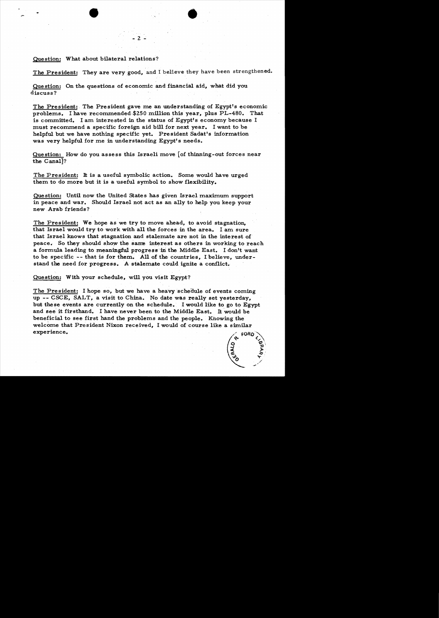## Question: What about bilateral relations?

The President: They are very good, and I believe they have been strengthened.

 $\bullet$ 

Question: On the questions of economic and financial aid, what did you discuss?

- 2

The President: The President gave me an understanding of Egypt's economic problems. I have recommended \$250 million this year, plus PL-480. That is committed. I am interested in the status of Egypt's economy because I must recommend a specific foreign aid bill for next year. I want to be helpful but we have nothing specific yet. President Sadat's information was very helpful for me in understanding Egypt's needs.

Question: How do you assess this Israeli move [of thinning-out forces near the Canal]?

The President: It is a useful symbolic action. Some would have urged them to do more but it is a useful symbol to show flexibility.

Question: Until now the United States has given Israel maximum support in peace and war. Should Israel not act as an ally to help you keep your new Arab friends?

The President: We hope as we try to move ahead, to avoid stagnation, that Israel would try to work with all the forces in the area. I am sure that Israel knows that stagnation and stalemate are not in the interest of peace. So they should show the same interest as others in working to reach a formula leading to meaningful progress in the Middle East. I don't want to be specific -- that is for them. All of the countries, I believe, understand the need for progress. A stalemate could ignite a conflict.

Question: With your schedule, will you visit Egypt?

The President: I hope so, but we have a heavy schedule of events coming up -- CSCE, SALT, a visit to China. No date was really set yesterday, but these events are currently on the schedule. I would like to go to Egypt and see it firsthand. I have never been to the Middle East. It would be beneficial to see first hand the problems and the people. Knowing the welcome that President Nixon received, I would of course like a similar experience.

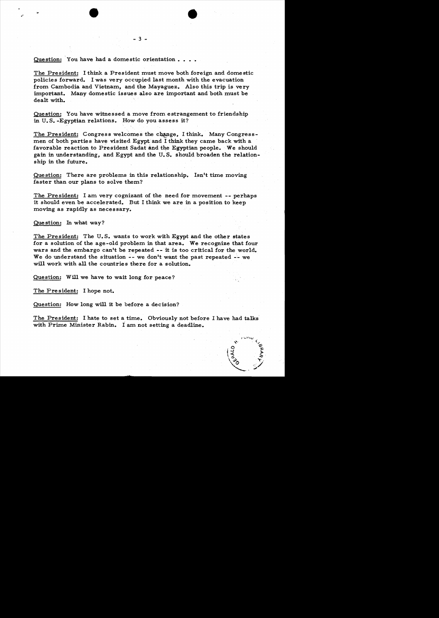Question: You have had a domestic orientation.

The President: I think a President must move both foreign and domestic policies forward. I was very occupied last month with the evacuation from Cambodia and Vietnam, and the Mayaguez. Also this trip is very important. Many domestic issues also are important and both must be dealt with.

 $-3 -$ 

Question: You have witnessed a move from estrangement to friendship in U. S. -Egyptian relations. How do you assess it?

The President: Congress welcomes the change. I think. Many Congressmen of both parties have visited Egypt and I think they came back with a favorable reaction to President Sadat and the Egyptian people. We should gain in understanding, and Egypt and the U. S. should broaden the relationship in the future.

Question: There are problems in this relationship. Isn't time moving faster than our plans to solve them?

The President: I am very cognizant of the need for movement  $-$ - perhaps it should even be accelerated. But I think we are in a position to keep moving as rapidly as necessary.

Que stion: In what way?

.

The President: The U. S. wants to work with Egypt and the other states for a solution of the age-old problem in that area. We recognize that four wars and the embargo can't be repeated  $-$  it is too critical for the world. We do understand the situation  $--$  we don't want the past repeated  $--$  we will work with all the countries there for a solution.

Question: Will we have to wait long for peace?

The President: I hope not.

Question: How long will it be before a decision?

The President: I hate to set a time. Obviously not before I have had talks with Prime Minister Rabin. I am not setting a deadline.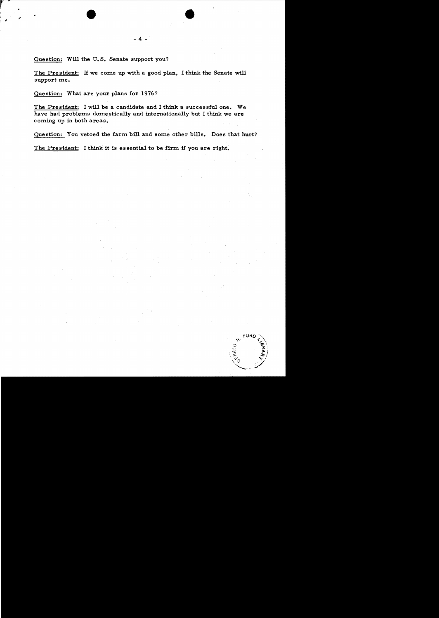$\bullet$ 

Question: Will the U.S. Senate support you?

The President: H we come up with a good plan, I think the Senate will support me.

Que stion: What are your plans for 1976?

The President: I will be a candidate and I think a successful one. We have had problems domestically and internationally but I think we are coming up in both areas.

Question: You vetoed the farm bill and some other bills. Does that hurt?

The President: I think it is essential to be firm if you are right.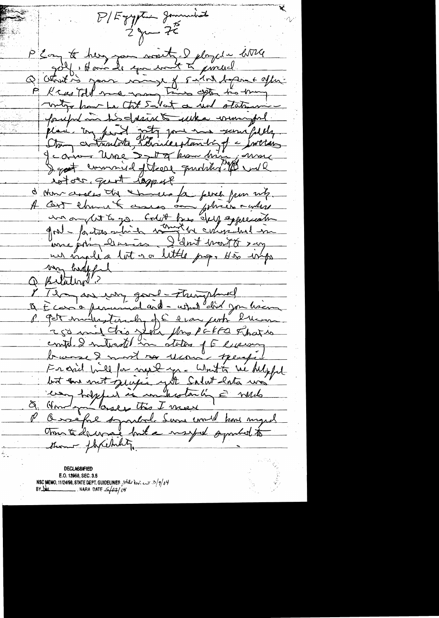B/Egyptin Januaries  $2y-75$ P 2 am to her, you won't, I ployed u little 4, Avoir le comment à pincerel Q Otroit is your wind of Fulat defent offer P K castall me many time often to thing mily hour be tot salat a und statemen pouple in the desire of when we will estore quot rappel d'Amarceses du chinese fa perie pour nitz. un ou dit le go. Colet bes élug appréciation un madia lot 200 little prop. His impo van hadeful Q Belation ? I I dans me in good-Tringshird & E casio permised and - what did you have P Pet mulhasterados en l'evan perté l'une 250 mil chis Jean Mrs Pakka Fharis<br>contel 2 mitrostel in states of Elleway Francis bill for next you white we helpful<br>but and most quiete yet Salat later was & Hondon loses this I meet P O velfal symbol Suns mil kod myrd Tom to decree but a mart of probability them - flycetulity.

**DECLASSIFIED** E.O. 12958, SEC. 3.5 NSC MEMO, 11/24/98, STATE DEPT. GUIDELINES , State Review 3/9/04  $BYLld$ NARA DATE  $\frac{2}{4}$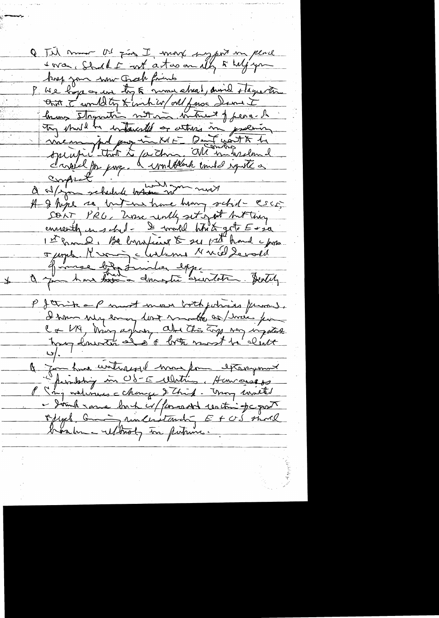Q Jil mor O' Fing I may suggest in peace ant I would by Kimbild all face demand Try struct in interested or where in province Inous Inquation not mon intrent of pear- h a s/you schedule better with most A I hope so interne have him schil- Esco; SOAT PRU, Zurne unly set in est but they 1et 2 mil 1 Belongting & sy pat hand c/m Fugel Kroug Malame Nuclement James bizatimiles expe P J think a P most mon both johais from ).<br>I ham sur eman dont mode as week join C + UK, hung aghor aber this try my injoint a form have untireged more form extremement permissing in US-E Watin Hamangers P  $\leq_{n=1}^{n}$  waterness change & Think. Though world - Joint rame bort c/ forcedd centime pc part offel, anderstanding E+US short brashme ultroly to putance.